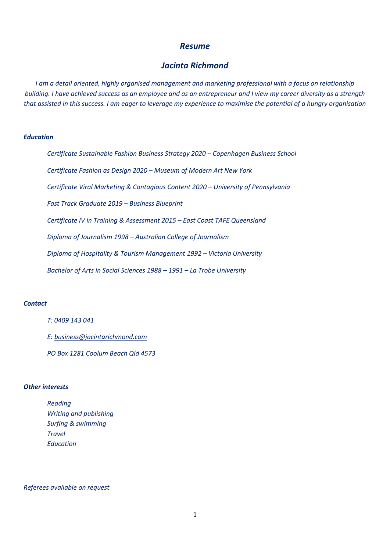# *Resume*

# *Jacinta Richmond*

*I am a detail oriented, highly organised management and marketing professional with a focus on relationship building. I have achieved success as an employee and as an entrepreneur and I view my career diversity as a strength that assisted in this success. I am eager to leverage my experience to maximise the potential of a hungry organisation*

#### *Education*

| Certificate Sustainable Fashion Business Strategy 2020 - Copenhagen Business School |
|-------------------------------------------------------------------------------------|
| Certificate Fashion as Design 2020 - Museum of Modern Art New York                  |
| Certificate Viral Marketing & Contagious Content 2020 – University of Pennsylvania  |
| Fast Track Graduate 2019 - Business Blueprint                                       |
| Certificate IV in Training & Assessment 2015 – East Coast TAFE Queensland           |
| Diploma of Journalism 1998 – Australian College of Journalism                       |
| Diploma of Hospitality & Tourism Management 1992 – Victoria University              |
| Bachelor of Arts in Social Sciences 1988 – 1991 – La Trobe University               |
|                                                                                     |

# *Contact*

*T: 0409 143 041*

*E: [business@jacintarichmond.com](mailto:business@jacintarichmond.com)*

*PO Box 1281 Coolum Beach Qld 4573*

# *Other interests*

*Reading Writing and publishing Surfing & swimming Travel Education*

# *Referees available on request*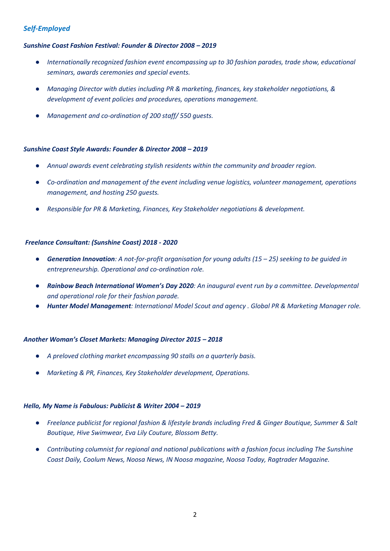# *Self-Employed*

# *Sunshine Coast Fashion Festival: Founder & Director 2008 – 2019*

- *Internationally recognized fashion event encompassing up to 30 fashion parades, trade show, educational seminars, awards ceremonies and special events.*
- *Managing Director with duties including PR & marketing, finances, key stakeholder negotiations, & development of event policies and procedures, operations management.*
- *Management and co-ordination of 200 staff/ 550 guests.*

## *Sunshine Coast Style Awards: Founder & Director 2008 – 2019*

- *Annual awards event celebrating stylish residents within the community and broader region.*
- *Co-ordination and management of the event including venue logistics, volunteer management, operations management, and hosting 250 guests.*
- *Responsible for PR & Marketing, Finances, Key Stakeholder negotiations & development.*

# *Freelance Consultant: (Sunshine Coast) 2018 - 2020*

- *Generation Innovation: A not-for-profit organisation for young adults (15 25) seeking to be quided in entrepreneurship. Operational and co-ordination role.*
- *Rainbow Beach International Women's Day 2020: An inaugural event run by a committee. Developmental and operational role for their fashion parade.*
- *Hunter Model Management: International Model Scout and agency . Global PR & Marketing Manager role.*

## *Another Woman's Closet Markets: Managing Director 2015 – 2018*

- *A preloved clothing market encompassing 90 stalls on a quarterly basis.*
- *Marketing & PR, Finances, Key Stakeholder development, Operations.*

## *Hello, My Name is Fabulous: Publicist & Writer 2004 – 2019*

- *Freelance publicist for regional fashion & lifestyle brands including Fred & Ginger Boutique, Summer & Salt Boutique, Hive Swimwear, Eva Lily Couture, Blossom Betty.*
- *Contributing columnist for regional and national publications with a fashion focus including The Sunshine Coast Daily, Coolum News, Noosa News, IN Noosa magazine, Noosa Today, Ragtrader Magazine.*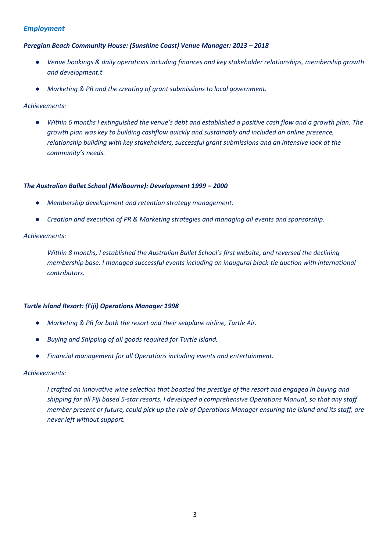# *Employment*

# *Peregian Beach Community House: (Sunshine Coast) Venue Manager: 2013 – 2018*

- *Venue bookings & daily operations including finances and key stakeholder relationships, membership growth and development.t*
- *Marketing & PR and the creating of grant submissions to local government.*

# *Achievements:*

● *Within 6 months I extinguished the venue's debt and established a positive cash flow and a growth plan. The growth plan was key to building cashflow quickly and sustainably and included an online presence, relationship building with key stakeholders, successful grant submissions and an intensive look at the community's needs.*

# *The Australian Ballet School (Melbourne): Development 1999 – 2000*

- *Membership development and retention strategy management.*
- *Creation and execution of PR & Marketing strategies and managing all events and sponsorship.*

# *Achievements:*

*Within 8 months, I established the Australian Ballet School's first website, and reversed the declining membership base. I managed successful events including an inaugural black-tie auction with international contributors.*

# *Turtle Island Resort: (Fiji) Operations Manager 1998*

- *Marketing & PR for both the resort and their seaplane airline, Turtle Air.*
- *Buying and Shipping of all goods required for Turtle Island.*
- *Financial management for all Operations including events and entertainment.*

## *Achievements:*

*I crafted an innovative wine selection that boosted the prestige of the resort and engaged in buying and shipping for all Fiji based 5-star resorts. I developed a comprehensive Operations Manual, so that any staff member present or future, could pick up the role of Operations Manager ensuring the island and its staff, are never left without support.*